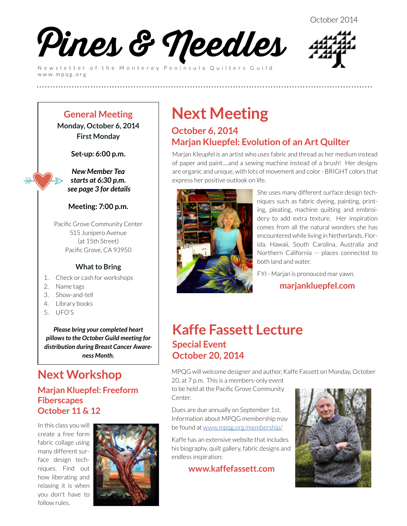

Newsletter of the Monterey Peninsula Quilters Guild www.mpqg.org



**General Meeting Monday, October 6, 2014 First Monday**

**Set-up: 6:00 p.m.**

*New Member Tea starts at 6:30 p.m. see page 3 for details*

#### **Meeting: 7:00 p.m.**

Pacific Grove Community Center 515 Junipero Avenue (at 15th Street) Pacific Grove, CA 93950

#### **What to Bring**

- 1. Check or cash for workshops
- 2. Name tags
- 3. Show-and-tell
- 4. Library books
- 5. UFO'S

*Please bring your completed heart pillows to the October Guild meeting for distribution during Breast Cancer Awareness Month.*

### **Next Workshop**

#### **Marjan Kluepfel: Freeform Fiberscapes October 11 & 12**

In this class you will create a free form fabric collage using many different surface design techniques. Find out how liberating and relaxing it is when you don't have to follow rules.



# **Next Meeting**

**(((((((((((((((((((((((((**

### **October 6, 2014 Marjan Kluepfel: Evolution of an Art Quilter**

Marjan Kleupfel is an artist who uses fabric and thread as her medium instead of paper and paint....and a sewing machine instead of a brush! Her designs are organic and unique, with lots of movement and color - BRIGHT colors that express her positive outlook on life.



She uses many different surface design techniques such as fabric dyeing, painting, printing, pleating, machine quilting and embroidery to add extra texture. Her inspiration comes from all the natural wonders she has encountered while living in Netherlands, Florida, Hawaii, South Carolina, Australia and Northern California -- places connected to both land and water.

FYI - Marjan is pronouced mar yawn.

#### **[marjankluepfel.com](http://marjankluepfel.com)**

### **Kaffe Fassett Lecture Special Event October 20, 2014**

MPQG will welcome designer and author, Kaffe Fassett on Monday, October 20, at 7 p.m. This is a members-only event

to be held at the Pacific Grove Community Center.

Dues are due annually on September 1st. Information about MPQG membership may be found at [www.mpqg.org/membership/](http://www.mpqg.org/membership/)

Kaffe has an extensive website that includes his biography, quilt gallery, fabric designs and endless inspiration:

**<www.kaffefassett.com>**

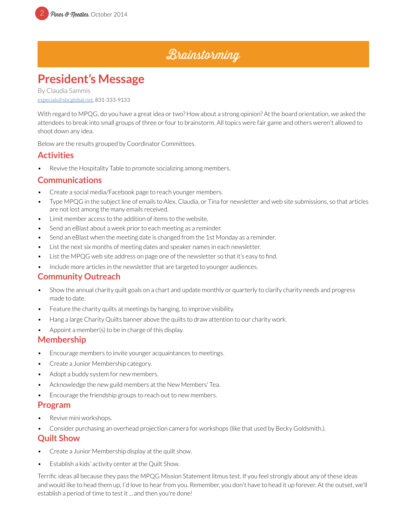### **Brainstorming**

### **President's Message**

By Claudia Sammis especials@sbcglobal.net, 831-333-9133

With regard to MPQG, do you have a great idea or two? How about a strong opinion? At the board orientation, we asked the attendees to break into small groups of three or four to brainstorm. All topics were fair game and others weren't allowed to shoot down any idea.

Below are the results grouped by Coordinator Committees.

#### **Activities**

Revive the Hospitality Table to promote socializing among members.

#### **Communications**

- Create a social media/Facebook page to reach younger members.
- Type MPQG in the subject line of emails to Alex, Claudia, or Tina for newsletter and web site submissions, so that articles are not lost among the many emails received.
- Limit member access to the addition of items to the website.
- Send an eBlast about a week prior to each meeting as a reminder.
- Send an eBlast when the meeting date is changed from the 1st Monday as a reminder.
- List the next six months of meeting dates and speaker names in each newsletter.
- List the MPQG web site address on page one of the newsletter so that it's easy to find.
- Include more articles in the newsletter that are targeted to younger audiences.

#### **Community Outreach**

- Show the annual charity quilt goals on a chart and update monthly or quarterly to clarify charity needs and progress made to date.
- Feature the charity quilts at meetings by hanging, to improve visibility.
- Hang a large Charity Quilts banner above the quilts to draw attention to our charity work.
- Appoint a member(s) to be in charge of this display.

#### **Membership**

- Encourage members to invite younger acquaintances to meetings.
- Create a Junior Membership category.
- Adopt a buddy system for new members.
- Acknowledge the new guild members at the New Members' Tea.
- Encourage the friendship groups to reach out to new members.

#### **Program**

- Revive mini workshops.
- Consider purchasing an overhead projection camera for workshops (like that used by Becky Goldsmith.).

#### **Quilt Show**

- Create a Junior Membership display at the quilt show.
- Establish a kids' activity center at the Quilt Show.

Terrific ideas all because they pass the MPQG Mission Statement litmus test. If you feel strongly about any of these ideas and would like to head them up, I'd love to hear from you. Remember, you don't have to head it up forever. At the outset, we'll establish a period of time to test it ... and then you're done!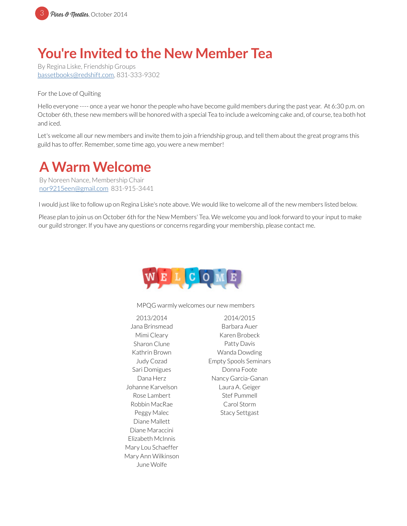

# **You're Invited to the New Member Tea**

By Regina Liske, Friendship Groups [bassetbooks@redshift.com](http://bassetbooks@redshift.com), 831-333-9302

For the Love of Quilting

Hello everyone ---- once a year we honor the people who have become guild members during the past year. At 6:30 p.m. on October 6th, these new members will be honored with a special Tea to include a welcoming cake and, of course, tea both hot and iced.

Let's welcome all our new members and invite them to join a friendship group, and tell them about the great programs this guild has to offer. Remember, some time ago, you were a new member!

## **A Warm Welcome**

By Noreen Nance, Membership Chair [nor9215een@gmail.com](mailto:nor9215een%40gmail.com?subject=MPQG%20Membership) 831-915-3441

I would just like to follow up on Regina Liske's note above. We would like to welcome all of the new members listed below.

Please plan to join us on October 6th for the New Members' Tea. We welcome you and look forward to your input to make our guild stronger. If you have any questions or concerns regarding your membership, please contact me.



MPQG warmly welcomes our new members

2013/2014 Jana Brinsmead Mimi Cleary Sharon Clune Kathrin Brown Judy Cozad Sari Domigues Dana Herz Johanne Karvelson Rose Lambert Robbin MacRae Peggy Malec Diane Mallett Diane Maraccini Elizabeth McInnis Mary Lou Schaeffer Mary Ann Wilkinson June Wolfe

2014/2015 Barbara Auer Karen Brobeck Patty Davis Wanda Dowding Empty Spools Seminars Donna Foote Nancy Garcia-Ganan Laura A. Geiger Stef Pummell Carol Storm Stacy Settgast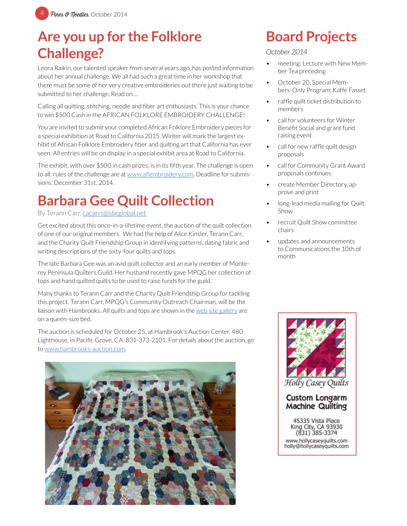# **Are you up for the Folklore Challenge?**

Leora Raikin, our talented speaker from several years ago, has posted information about her annual challenge. We all had such a great time in her workshop that there must be some of her very creative embroideries out there just waiting to be submitted to her challenge. Read on ...

Calling all quilting, stitching, needle and fiber art enthusiasts. This is your chance to win \$500 Cash in the AFRICAN FOLKLORE EMBROIDERY CHALLENGE!

You are invited to submit your completed African Folklore Embroidery pieces for a special exhibition at Road to California 2015. Winter will mark the largest exhibit of African Folklore Embroidery fiber and quilting art that California has ever seen. All entries will be on display in a special exhibit area at Road to California.

The exhibit, with over \$500 in cash prizes, is in its fifth year. The challenge is open to all: rules of the challenge are at [www.aflembroidery.com](http://www.aflembroidery.com). Deadline for submissions: December 31st, 2014.

# **Barbara Gee Quilt Collection**

By Terann Carr, [cacarrs@sbcglobal.net](mailto:cacarrs%40sbcglobal.net?subject=MPQG%20Heart%20Pillows)

Get excited about this once-in-a-lifetime event, the auction of the quilt collection of one of our original members. We had the help of Alice Kinsler, Terann Carr, and the Charity Quilt Friendship Group in identifying patterns, dating fabric and writing descriptions of the sixty-four quilts and tops.

The late Barbara Gee was an avid quilt collector and an early member of Monterey Peninsula Quilters Guild. Her husband recently gave MPQG her collection of tops and hand quilted quilts to be used to raise funds for the guild.

Many thanks to Terann Carr and the Charity Quilt Friendship Group for tackling this project. Terann Carr, MPQG's Community Outreach Chairman, will be the liaison with Hambrooks. All quilts and tops are shown in the [web site gallery](http://www.mpqg.org/gallery/4/) are on a queen-size bed.

The auction is scheduled for October 25, at Hambrook's Auction Center, 480 Lighthouse, in Pacific Grove, CA. 831-373-2101. For details about the auction, go to [www.hambrooks-auction.com](http://www.hambrooks-auction.com).



# **Board Projects**

#### *October 2014*

- meeting: Lecture with New Member Tea preceding
- October 20, Special Members-Only Program: Kaffe Fasset
- raffle quilt ticket distribution to members
- call for volunteers for Winter Benefit Social and grant fund raising event
- call for new raffle quilt design proposals
- call for Community Grant Award proposals continues
- create Member Directory, approve and print
- long-lead media mailing for Quilt Show
- recruit Quilt Show committee chairs
- updates and announcements to Communications the 10th of month



#### **Custom Longarm Machine Quilting**

45335 Vista Place King City, CA 93930  $(831)$  385-3374 www.hollycaseyquilts.com holly@hollycaseyquilts.com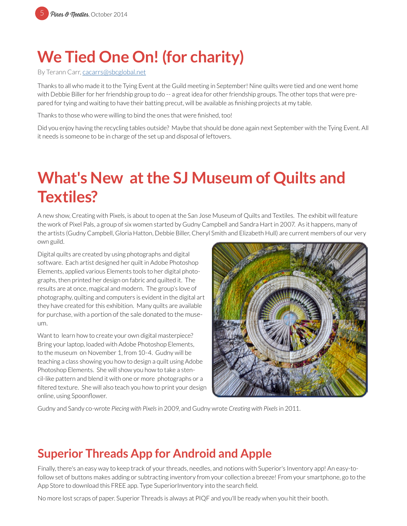# **We Tied One On! (for charity)**

By Terann Carr, [cacarrs@sbcglobal.net](mailto:cacarrs%40sbcglobal.net?subject=MPQG%20Heart%20Pillows)

Thanks to all who made it to the Tying Event at the Guild meeting in September! Nine quilts were tied and one went home with Debbie Biller for her friendship group to do -- a great idea for other friendship groups. The other tops that were prepared for tying and waiting to have their batting precut, will be available as finishing projects at my table.

Thanks to those who were willing to bind the ones that were finished, too!

Did you enjoy having the recycling tables outside? Maybe that should be done again next September with the Tying Event. All it needs is someone to be in charge of the set up and disposal of leftovers.

# **What's New at the SJ Museum of Quilts and Textiles?**

A new show, Creating with Pixels, is about to open at the San Jose Museum of Quilts and Textiles. The exhibit will feature the work of Pixel Pals, a group of six women started by Gudny Campbell and Sandra Hart in 2007. As it happens, many of the artists (Gudny Campbell, Gloria Hatton, Debbie Biller, Cheryl Smith and Elizabeth Hull) are current members of our very own guild.

Digital quilts are created by using photographs and digital software. Each artist designed her quilt in Adobe Photoshop Elements, applied various Elements tools to her digital photographs, then printed her design on fabric and quilted it. The results are at once, magical and modern. The group's love of photography, quilting and computers is evident in the digital art they have created for this exhibition. Many quilts are available for purchase, with a portion of the sale donated to the museum.

Want to learn how to create your own digital masterpiece? Bring your laptop, loaded with Adobe Photoshop Elements, to the museum on November 1, from 10-4. Gudny will be teaching a class showing you how to design a quilt using Adobe Photoshop Elements. She will show you how to take a stencil-like pattern and blend it with one or more photographs or a filtered texture. She will also teach you how to print your design online, using Spoonflower.



Gudny and Sandy co-wrote *Piecing with Pixels i*n 2009, and Gudny wrote *Creating with Pixels* in 2011.

### **Superior Threads App for Android and Apple**

Finally, there's an easy way to keep track of your threads, needles, and notions with Superior's Inventory app! An easy-tofollow set of buttons makes adding or subtracting inventory from your collection a breeze! From your smartphone, go to the App Store to download this FREE app. Type SuperiorInventory into the search field.

No more lost scraps of paper. Superior Threads is always at PIQF and you'll be ready when you hit their booth.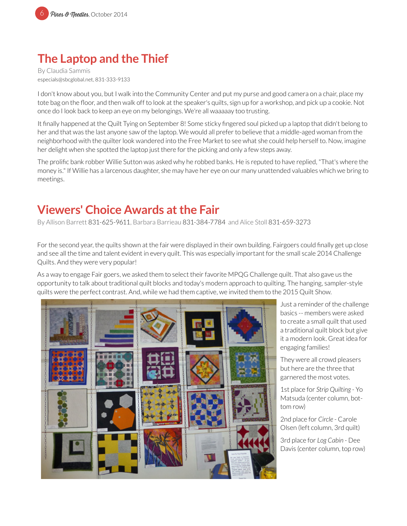

### **The Laptop and the Thief**

By Claudia Sammis especials@sbcglobal.net, 831-333-9133

I don't know about you, but I walk into the Community Center and put my purse and good camera on a chair, place my tote bag on the floor, and then walk off to look at the speaker's quilts, sign up for a workshop, and pick up a cookie. Not once do I look back to keep an eye on my belongings. We're all waaaaay too trusting.

It finally happened at the Quilt Tying on September 8! Some sticky fingered soul picked up a laptop that didn't belong to her and that was the last anyone saw of the laptop. We would all prefer to believe that a middle-aged woman from the neighborhood with the quilter look wandered into the Free Market to see what she could help herself to. Now, imagine her delight when she spotted the laptop just there for the picking and only a few steps away.

The prolific bank robber Willie Sutton was asked why he robbed banks. He is reputed to have replied, "That's where the money is." If Willie has a larcenous daughter, she may have her eye on our many unattended valuables which we bring to meetings.

### **Viewers' Choice Awards at the Fair**

By Allison Barrett 831-625-9611, Barbara Barrieau 831-384-7784 and Alice Stoll 831-659-3273

For the second year, the quilts shown at the fair were displayed in their own building. Fairgoers could finally get up close and see all the time and talent evident in every quilt. This was especially important for the small scale 2014 Challenge Quilts. And they were very popular!

As a way to engage Fair goers, we asked them to select their favorite MPQG Challenge quilt. That also gave us the opportunity to talk about traditional quilt blocks and today's modern approach to quilting. The hanging, sampler-style quilts were the perfect contrast. And, while we had them captive, we invited them to the 2015 Quilt Show.



Just a reminder of the challenge basics -- members were asked to create a small quilt that used a traditional quilt block but give it a modern look. Great idea for engaging families!

They were all crowd pleasers but here are the three that garnered the most votes.

1st place for *Strip Quilting* - Yo Matsuda (center column, bottom row)

2nd place for *Circle* - Carole Olsen (left column, 3rd quilt)

3rd place for *Log Cabin* - Dee Davis (center column, top row)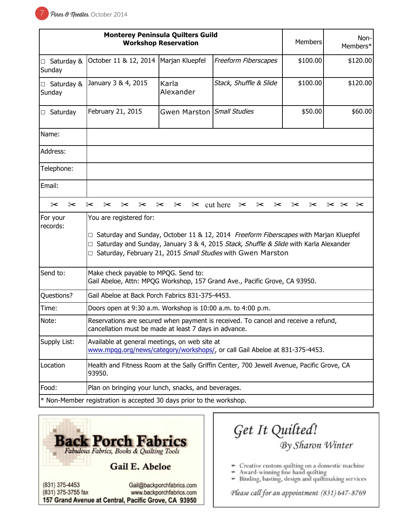| <b>Monterey Peninsula Quilters Guild</b><br><b>Workshop Reservation</b> |                                                                                                                                                                                                                                                                          |                            | Members                | Non-<br>Members* |          |
|-------------------------------------------------------------------------|--------------------------------------------------------------------------------------------------------------------------------------------------------------------------------------------------------------------------------------------------------------------------|----------------------------|------------------------|------------------|----------|
| $\Box$ Saturday &<br>Sunday                                             | October 11 & 12, 2014                                                                                                                                                                                                                                                    | Marjan Kluepfel            | Freeform Fiberscapes   | \$100.00         | \$120.00 |
| $\Box$ Saturday &<br>Sunday                                             | January 3 & 4, 2015                                                                                                                                                                                                                                                      | Karla<br>Alexander         | Stack, Shuffle & Slide | \$100.00         | \$120.00 |
| $\Box$ Saturday                                                         | February 21, 2015                                                                                                                                                                                                                                                        | Gwen Marston Small Studies |                        | \$50.00          | \$60.00  |
| Name:                                                                   |                                                                                                                                                                                                                                                                          |                            |                        |                  |          |
| Address:                                                                |                                                                                                                                                                                                                                                                          |                            |                        |                  |          |
| Telephone:                                                              |                                                                                                                                                                                                                                                                          |                            |                        |                  |          |
| Email:                                                                  |                                                                                                                                                                                                                                                                          |                            |                        |                  |          |
| ⊱<br>⊱<                                                                 | ⊱<                                                                                                                                                                                                                                                                       | $\approx$ cut here<br>⊱<   | ⊱<br>⊱                 | ⊱                | ⊱<<br>⊱< |
| For your<br>records:                                                    | You are registered for:<br>□ Saturday and Sunday, October 11 & 12, 2014 Freeform Fiberscapes with Marjan Kluepfel<br>Saturday and Sunday, January 3 & 4, 2015 Stack, Shuffle & Slide with Karla Alexander<br>Saturday, February 21, 2015 Small Studies with Gwen Marston |                            |                        |                  |          |
| Send to:                                                                | Make check payable to MPQG. Send to:<br>Gail Abeloe, Attn: MPQG Workshop, 157 Grand Ave., Pacific Grove, CA 93950.                                                                                                                                                       |                            |                        |                  |          |
| Questions?                                                              | Gail Abeloe at Back Porch Fabrics 831-375-4453.                                                                                                                                                                                                                          |                            |                        |                  |          |
| Time:                                                                   | Doors open at 9:30 a.m. Workshop is 10:00 a.m. to 4:00 p.m.                                                                                                                                                                                                              |                            |                        |                  |          |
| Note:                                                                   | Reservations are secured when payment is received. To cancel and receive a refund,<br>cancellation must be made at least 7 days in advance.                                                                                                                              |                            |                        |                  |          |
| Supply List:                                                            | Available at general meetings, on web site at<br>www.mpqg.org/news/category/workshops/, or call Gail Abeloe at 831-375-4453.                                                                                                                                             |                            |                        |                  |          |
| Location                                                                | Health and Fitness Room at the Sally Griffin Center, 700 Jewell Avenue, Pacific Grove, CA<br>93950.                                                                                                                                                                      |                            |                        |                  |          |
| Food:                                                                   | Plan on bringing your lunch, snacks, and beverages.                                                                                                                                                                                                                      |                            |                        |                  |          |
| $*$ Non-Member registration is accepted 30 days prior to the workshop.  |                                                                                                                                                                                                                                                                          |                            |                        |                  |          |



Get It Quilted! By Sharon Winter

- Creative custom quilting on a domestic machine
- Award-winning fine hand quilting  $\ast$
- \* Binding, basting, design and quiltmaking services

Please call for an appointment (831) 647-8769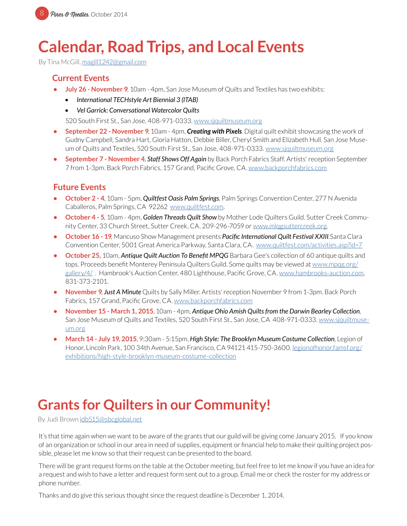# **Calendar, Road Trips, and Local Events**

By Tina McGill, [magill1242@gmail.com](mailto:magill1242%40gmail.com?subject=MPQG%20Calendar)

#### **Current Events**

- **• July 26 November 9**, 10am 4pm, San Jose Museum of Quilts and Textiles has two exhibits:
	- *• International TECHstyle Art Biennial 3 (ITAB)*
	- *• Vel Garrick: Conversational Watercolor Quilts*

520 South First St., San Jose, 408-971-0333. [www.sjquiltmuseum.or](http://www.sjquiltmuseum.org)g

- **• September 22 November 9**, 10am 4pm, *Creating with Pixels*. Digital quilt exhibit showcasing the work of Gudny Campbell, Sandra Hart, Gloria Hatton, Debbie Biller, Cheryl Smith and Elizabeth Hull. San Jose Museum of Quilts and Textiles, 520 South First St., San Jose, 408-971-0333. [www.sjquiltmuseum.org](http://www.sjquiltmuseum.org)
- **• September 7 November 4**, *Staff Shows Off Again* by Back Porch Fabrics Staff. Artists' reception September 7 from 1-3pm. Back Porch Fabrics, 157 Grand, Pacific Grove, CA. [www.backporchfabrics.com](http://www.backporchfabrics.com)

#### **Future Events**

- **• October 2 4**, 10am 5pm, *Quiltfest Oasis Palm Springs*, Palm Springs Convention Center, 277 N Avenida Caballeros, Palm Springs, CA 92262 [www.quiltfest.com](http://www.quiltfest.com).
- **• October 4 5**, 10am 4pm, *Golden Threads Quilt Show* by Mother Lode Quilters Guild. Sutter Creek Community Center, 33 Church Street, Sutter Creek, CA. 209-296-7059 or [www.mlqgsuttercreek.org.](http://www.mlqgsuttercreek.org)
- **• October 16 19**, Mancuso Show Management presents *Pacific International Quilt Festival XXIII*.Santa Clara Convention Center, 5001 Great America Parkway, Santa Clara, CA. [www.quiltfest.com/activities.asp?id=7](http://www.quiltfest.com/activities.asp?id=7)
- **• October 25,** 10am, *Antique Quilt Auction To Benefit MPQG* Barbara Gee's collection of 60 antique quilts and tops. Proceeds benefit Monterey Peninsula Quilters Guild. Some quilts may be viewed at [www.mpqg.org/](http://www.mpqg.org/gallery/4/) [gallery/4/](http://www.mpqg.org/gallery/4/) . Hambrook's Auction Center, 480 Lighthouse, Pacific Grove, CA. [www.hambrooks-auction.com](http://www.hambrooks-auction.com). 831-373-2101.
- **• November 9**, *Just A Minute* Quilts by Sally Miller. Artists' reception November 9 from 1-3pm. Back Porch Fabrics, 157 Grand, Pacific Grove, CA. [www.backporchfabrics.com](http://www.backporchfabrics.com)
- **• November 15 March 1, 2015**, 10am 4pm, *Antique Ohio Amish Quilts from the Darwin Bearley Collection*, San Jose Museum of Quilts and Textiles, 520 South First St., San Jose, CA 408-971-0333. [www.sjquiltmuse](http://www.sjquiltmuseum.org)[um.or](http://www.sjquiltmuseum.org)g
- **• March 14 July 19, 2015**, 9:30am 5:15pm, *High Style: The Brooklyn Museum Costume Collection*, Legion of Honor, Lincoln Park, 100 34th Avenue, San Francisco, CA 94121 415-750-3600. [legionofhonor.famsf.org/](http://legionofhonor.famsf.org/exhibitions/high-style-brooklyn-museum-costume-collection) [exhibitions/high-style-brooklyn-museum-costume-collection](http://legionofhonor.famsf.org/exhibitions/high-style-brooklyn-museum-costume-collection)

# **Grants for Quilters in our Community!**

By Judi Brown [jdb515@sbcglobal.net](mailto:db515%40sbcglobal.net?subject=MPQG%20Grants)

It's that time again when we want to be aware of the grants that our guild will be giving come January 2015. If you know of an organization or school in our area in need of supplies, equipment or financial help to make their quilting project possible, please let me know so that their request can be presented to the board.

There will be grant request forms on the table at the October meeting, but feel free to let me know if you have an idea for a request and wish to have a letter and request form sent out to a group. Email me or check the roster for my address or phone number.

Thanks and do give this serious thought since the request deadline is December 1, 2014.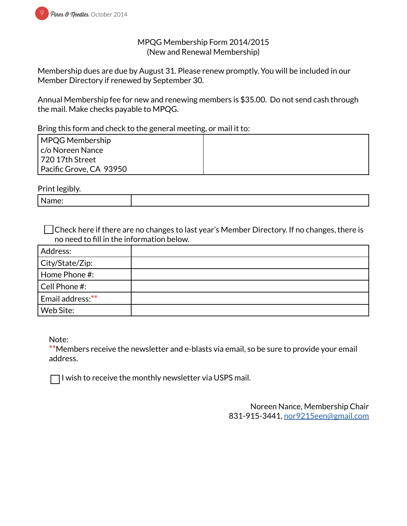

#### MPQG Membership Form 2014/2015 (New and Renewal Membership)

Membership dues are due by August 31. Please renew promptly. You will be included in our Member Directory if renewed by September 30.

Annual Membership fee for new and renewing members is \$35.00. Do not send cash through the mail. Make checks payable to MPQG.

Bring this form and check to the general meeting, or mail it to:

| MPQG Membership         |  |
|-------------------------|--|
| c/o Noreen Nance        |  |
| l 720 17th Street       |  |
| Pacific Grove, CA 93950 |  |

Print legibly.

| --     |  |
|--------|--|
| ٠<br>. |  |

Check here if there are no changes to last year's Member Directory. If no changes, there is no need to fill in the information below.

| Address:          |  |
|-------------------|--|
| City/State/Zip:   |  |
| Home Phone #:     |  |
| $ $ Cell Phone #: |  |
| Email address:**  |  |
| Web Site:         |  |

Note:

**\*\***Members receive the newsletter and e-blasts via email, so be sure to provide your email address.

 $\Box$  I wish to receive the monthly newsletter via USPS mail.

Noreen Nance, Membership Chair 831-915-3441, [nor9215een@gmail.com](mailto:nor9215een%40gmail.com?subject=MPQG%20Membership)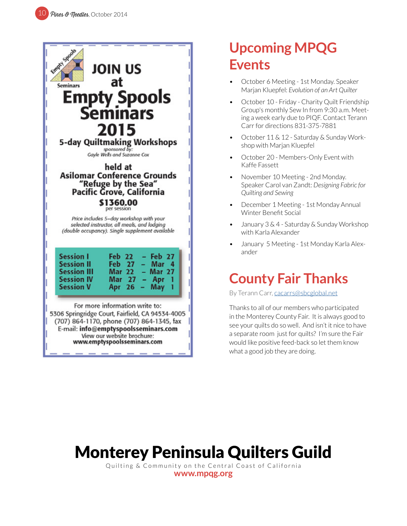

# **Upcoming MPQG Events**

- October 6 Meeting 1st Monday. Speaker Marjan Kluepfel: *Evolution of an Art Quilter*
- October 10 Friday Charity Quilt Friendship Group's monthly Sew In from 9:30 a.m. Meeting a week early due to PIQF. Contact Terann Carr for directions 831-375-7881
- October 11 & 12 Saturday & Sunday Workshop with Marjan Kluepfel
- October 20 Members-Only Event with Kaffe Fassett
- November 10 Meeting 2nd Monday. Speaker Carol van Zandt: *Designing Fabric for Quilting and Sewing*
- December 1 Meeting 1st Monday Annual Winter Benefit Social
- January 3 & 4 Saturday & Sunday Workshop with Karla Alexander
- January 5 Meeting 1st Monday Karla Alexander

## **County Fair Thanks**

By Terann Carr, [cacarrs@sbcglobal.net](mailto:cacarrs%40sbcglobal.net?subject=MPQG%20Heart%20Pillows)

Thanks to all of our members who participated in the Monterey County Fair. It is always good to see your quilts do so well. And isn't it nice to have a separate room just for quilts? I'm sure the Fair would like positive feed-back so let them know what a good job they are doing.

# Monterey Peninsula Quilters Guild

Quilting & Community on the Central Coast of California

**[www.mpqg.org](http://www.mpqg.org)**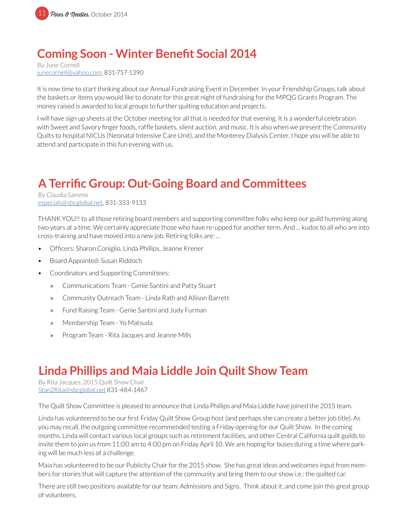

### **Coming Soon - Winter Benefit Social 2014**

By June Cornell junecornell@yahoo.com, 831-757-1390

It is now time to start thinking about our Annual Fundraising Event in December. In your Friendship Groups, talk about the baskets or items you would like to donate for this great night of fundraising for the MPQG Grants Program. The money raised is awarded to local groups to further quilting education and projects.

I will have sign up sheets at the October meeting for all that is needed for that evening. It is a wonderful celebration with Sweet and Savory finger foods, raffle baskets, silent auction, and music. It is also when we present the Community Quilts to hospital NICUs (Neonatal Intensive Care Unit), and the Monterey Dialysis Center. I hope you will be able to attend and participate in this fun evening with us.

## **A Terrific Group: Out-Going Board and Committees**

By Claudia Sammis especials@sbcglobal.net, 831-333-9133

THANK YOU!! to all those retiring board members and supporting committee folks who keep our guild humming along two years at a time. We certainly appreciate those who have re-upped for another term. And ... kudos to all who are into cross-training and have moved into a new job. Retiring folks are: ...

- Officers: Sharon Coniglio, Linda Phillips, Jeanne Krener
- Board Appointed: Susan Riddoch
- Coordinators and Supporting Committees:
	- » Communications Team Genie Santini and Patty Stuart
	- » Community Outreach Team Linda Rath and Allison Barrett
	- » Fund Raising Team Genie Santini and Judy Furman
	- » Membership Team Yo Matsuda
	- » Program Team Rita Jacques and Jeanne Mills

### **Linda Phillips and Maia Liddle Join Quilt Show Team**

By Rita Jacques, 2015 Quilt Show Chair Stan2Rita@sbcglobal.net 831-484-1467

The Quilt Show Committee is pleased to announce that Linda Phillips and Maia Liddle have joined the 2015 team.

Linda has volunteered to be our first Friday Quilt Show Group host (and perhaps she can create a better job title). As you may recall, the outgoing committee recommended testing a Friday opening for our Quilt Show. In the coming months, Linda will contact various local groups such as retirement facilities, and other Central California quilt guilds to invite them to join us from 11:00 am to 4:00 pm on Friday April 10. We are hoping for buses during a time where parking will be much less of a challenge.

Maia has volunteered to be our Publicity Chair for the 2015 show. She has great ideas and welcomes input from members for stories that will capture the attention of the community and bring them to our show i.e.: the quilted car.

There are still two positions available for our team: Admissions and Signs. Think about it, and come join this great group of volunteers.